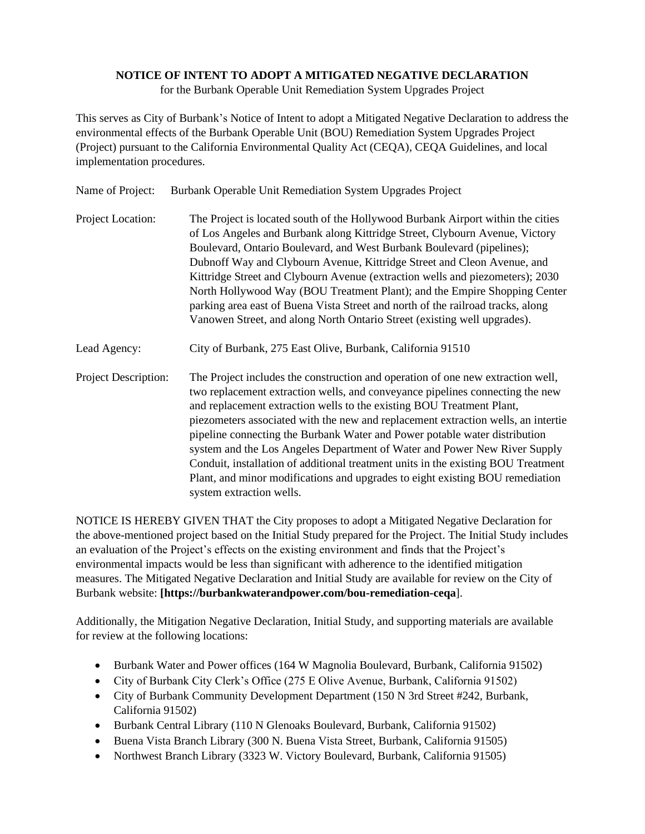## **NOTICE OF INTENT TO ADOPT A MITIGATED NEGATIVE DECLARATION**

for the Burbank Operable Unit Remediation System Upgrades Project

This serves as City of Burbank's Notice of Intent to adopt a Mitigated Negative Declaration to address the environmental effects of the Burbank Operable Unit (BOU) Remediation System Upgrades Project (Project) pursuant to the California Environmental Quality Act (CEQA), CEQA Guidelines, and local implementation procedures.

| Name of Project:     | Burbank Operable Unit Remediation System Upgrades Project                                                                                                                                                                                                                                                                                                                                                                                                                                                                                                                                                                                                                                   |
|----------------------|---------------------------------------------------------------------------------------------------------------------------------------------------------------------------------------------------------------------------------------------------------------------------------------------------------------------------------------------------------------------------------------------------------------------------------------------------------------------------------------------------------------------------------------------------------------------------------------------------------------------------------------------------------------------------------------------|
| Project Location:    | The Project is located south of the Hollywood Burbank Airport within the cities<br>of Los Angeles and Burbank along Kittridge Street, Clybourn Avenue, Victory<br>Boulevard, Ontario Boulevard, and West Burbank Boulevard (pipelines);<br>Dubnoff Way and Clybourn Avenue, Kittridge Street and Cleon Avenue, and<br>Kittridge Street and Clybourn Avenue (extraction wells and piezometers); 2030<br>North Hollywood Way (BOU Treatment Plant); and the Empire Shopping Center<br>parking area east of Buena Vista Street and north of the railroad tracks, along<br>Vanowen Street, and along North Ontario Street (existing well upgrades).                                             |
| Lead Agency:         | City of Burbank, 275 East Olive, Burbank, California 91510                                                                                                                                                                                                                                                                                                                                                                                                                                                                                                                                                                                                                                  |
| Project Description: | The Project includes the construction and operation of one new extraction well,<br>two replacement extraction wells, and conveyance pipelines connecting the new<br>and replacement extraction wells to the existing BOU Treatment Plant,<br>piezometers associated with the new and replacement extraction wells, an intertie<br>pipeline connecting the Burbank Water and Power potable water distribution<br>system and the Los Angeles Department of Water and Power New River Supply<br>Conduit, installation of additional treatment units in the existing BOU Treatment<br>Plant, and minor modifications and upgrades to eight existing BOU remediation<br>system extraction wells. |

NOTICE IS HEREBY GIVEN THAT the City proposes to adopt a Mitigated Negative Declaration for the above-mentioned project based on the Initial Study prepared for the Project. The Initial Study includes an evaluation of the Project's effects on the existing environment and finds that the Project's environmental impacts would be less than significant with adherence to the identified mitigation measures. The Mitigated Negative Declaration and Initial Study are available for review on the City of Burbank website: **[https://burbankwaterandpower.com/bou-remediation-ceqa**].

Additionally, the Mitigation Negative Declaration, Initial Study, and supporting materials are available for review at the following locations:

- Burbank Water and Power offices (164 W Magnolia Boulevard, Burbank, California 91502)
- City of Burbank City Clerk's Office (275 E Olive Avenue, Burbank, California 91502)
- City of Burbank Community Development Department (150 N 3rd Street #242, Burbank, California 91502)
- Burbank Central Library (110 N Glenoaks Boulevard, Burbank, California 91502)
- Buena Vista Branch Library (300 N. Buena Vista Street, Burbank, California 91505)
- Northwest Branch Library (3323 W. Victory Boulevard, Burbank, California 91505)